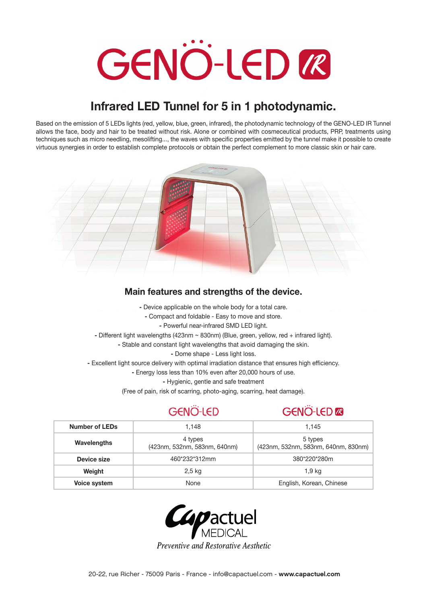# **GENÖ-LED LE**

# **Infrared LED Tunnel for 5 in 1 photodynamic.**

Based on the emission of 5 LEDs lights (red, yellow, blue, green, infrared), the photodynamic technology of the GENO-LED IR Tunnel allows the face, body and hair to be treated without risk. Alone or combined with cosmeceutical products, PRP, treatments using techniques such as micro needling, mesolifting..., the waves with specific properties emitted by the tunnel make it possible to create virtuous synergies in order to establish complete protocols or obtain the perfect complement to more classic skin or hair care.



# **Main features and strengths of the device.**

- Device applicable on the whole body for a total care.
- Compact and foldable Easy to move and store.
	- Powerful near-infrared SMD LED light.
- Different light wavelengths (423nm ~ 830nm) (Blue, green, yellow, red + infrared light).
	- Stable and constant light wavelengths that avoid damaging the skin.
		- Dome shape Less light loss.
- Excellent light source delivery with optimal irradiation distance that ensures high efficiency.
	- Energy loss less than 10% even after 20,000 hours of use.
		- Hygienic, gentle and safe treatment
	- (Free of pain, risk of scarring, photo-aging, scarring, heat damage).

### GENÖ-LED **GENÖ-LED @**

| Number of LEDs      | 1.148                                   | 1.145                                          |  |
|---------------------|-----------------------------------------|------------------------------------------------|--|
| Wavelengths         | 4 types<br>(423nm, 532nm, 583nm, 640nm) | 5 types<br>(423nm, 532nm, 583nm, 640nm, 830nm) |  |
| Device size         | 460*232*312mm                           | 380*220*280m                                   |  |
| Weight              | 2.5 kg                                  | 1,9 kg                                         |  |
| <b>Voice system</b> | None                                    | English, Korean, Chinese                       |  |



Preventive and Restorative Aesthetic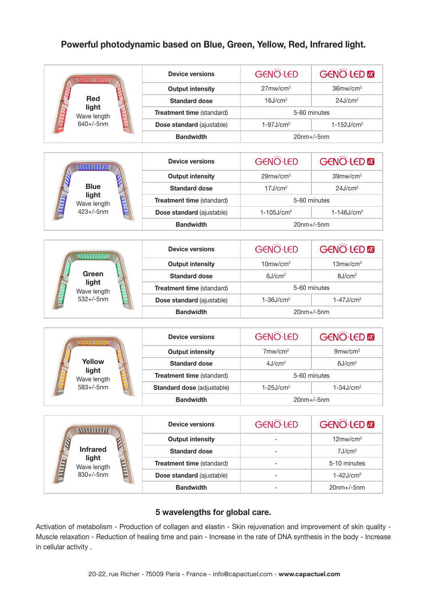# **Powerful photodynamic based on Blue, Green, Yellow, Red, Infrared light.**

| WWW<br><b>Red</b><br>light<br>Wave length<br>$640 + / -5$ nm  | <b>Device versions</b>     | <b>GENO-LED</b>             | <b>GENO-LED</b>             |  |  |
|---------------------------------------------------------------|----------------------------|-----------------------------|-----------------------------|--|--|
|                                                               | <b>Output intensity</b>    | $27$ mw/cm $2$              | 36mw/cm <sup>2</sup>        |  |  |
|                                                               | <b>Standard dose</b>       | 16J/cm <sup>2</sup>         | 24J/cm <sup>2</sup>         |  |  |
|                                                               | Treatment time (standard)  | 5-60 minutes                |                             |  |  |
|                                                               | Dose standard (ajustable)  | $1-97J/cm2$                 | $1 - 152J/cm2$              |  |  |
|                                                               | <b>Bandwidth</b>           | $20nm+/-5nm$                |                             |  |  |
|                                                               |                            |                             |                             |  |  |
| WWW<br><b>Blue</b><br>light<br>Wave length<br>$423 + / -5$ nm | <b>Device versions</b>     | <b>GENO-LED</b>             | <b>GENO-LED</b>             |  |  |
|                                                               | <b>Output intensity</b>    | $29$ mw/cm <sup>2</sup>     | $39$ mw/cm <sup>2</sup>     |  |  |
|                                                               | <b>Standard dose</b>       | 17J/cm <sup>2</sup>         | 24J/cm <sup>2</sup>         |  |  |
|                                                               | Treatment time (standard)  | 5-60 minutes                |                             |  |  |
|                                                               | Dose standard (ajustable)  | $1 - 105$ J/cm <sup>2</sup> | $1 - 146$ J/cm <sup>2</sup> |  |  |
|                                                               | <b>Bandwidth</b>           | $20$ nm+/-5nm               |                             |  |  |
|                                                               |                            |                             |                             |  |  |
| ww                                                            | <b>Device versions</b>     | <b>GENÖ-LED</b>             | <b>GENO-LED</b>             |  |  |
|                                                               | <b>Output intensity</b>    | $10$ mw/cm $2$              | $13$ mw/cm $2$              |  |  |
| Green<br>light<br>Wave length<br>$532 + / -5$ nm              | <b>Standard dose</b>       | 6J/cm <sup>2</sup>          | 8J/cm <sup>2</sup>          |  |  |
|                                                               | Treatment time (standard)  | 5-60 minutes                |                             |  |  |
|                                                               | Dose standard (ajustable)  | $1-36J/cm2$                 | $1-47J/cm2$                 |  |  |
|                                                               | <b>Bandwidth</b>           | $20$ nm+/-5nm               |                             |  |  |
|                                                               |                            |                             |                             |  |  |
| www.<br>Yellow<br>light<br>Wave length<br>$583 + / -5$ nm     | <b>Device versions</b>     | GENÖ-LED                    | <b>GENO-LED</b>             |  |  |
|                                                               | <b>Output intensity</b>    | $7$ mw/cm <sup>2</sup>      | $9$ mw/cm $2$               |  |  |
|                                                               | <b>Standard dose</b>       | 4J/cm <sup>2</sup>          | 6J/cm <sup>2</sup>          |  |  |
|                                                               | Treatment time (standard)  | 5-60 minutes                |                             |  |  |
|                                                               | Standard dose (adjustable) | $1-25J/cm2$                 | $1-34J/cm2$                 |  |  |
|                                                               | <b>Bandwidth</b>           | $20$ nm+ $/$ -5nm           |                             |  |  |
|                                                               |                            |                             |                             |  |  |
| <b>Infrared</b><br>light<br>THE<br>Wave length<br>830+/-5nm   | <b>Device versions</b>     | GENÖ-LED                    | <b>GENO-LED</b>             |  |  |
|                                                               | <b>Output intensity</b>    |                             | $12 \text{mw/cm}^2$         |  |  |
|                                                               | <b>Standard dose</b>       |                             | 7J/cm <sup>2</sup>          |  |  |
|                                                               | Treatment time (standard)  |                             | 5-10 minutes                |  |  |
|                                                               | Dose standard (ajustable)  | $\overline{\phantom{0}}$    | $1-42J/cm2$                 |  |  |
|                                                               | <b>Bandwidth</b>           |                             | $20$ nm+/-5nm               |  |  |

# **5 wavelengths for global care.**

Activation of metabolism - Production of collagen and elastin - Skin rejuvenation and improvement of skin quality - Muscle relaxation - Reduction of healing time and pain - Increase in the rate of DNA synthesis in the body - Increase in cellular activity .